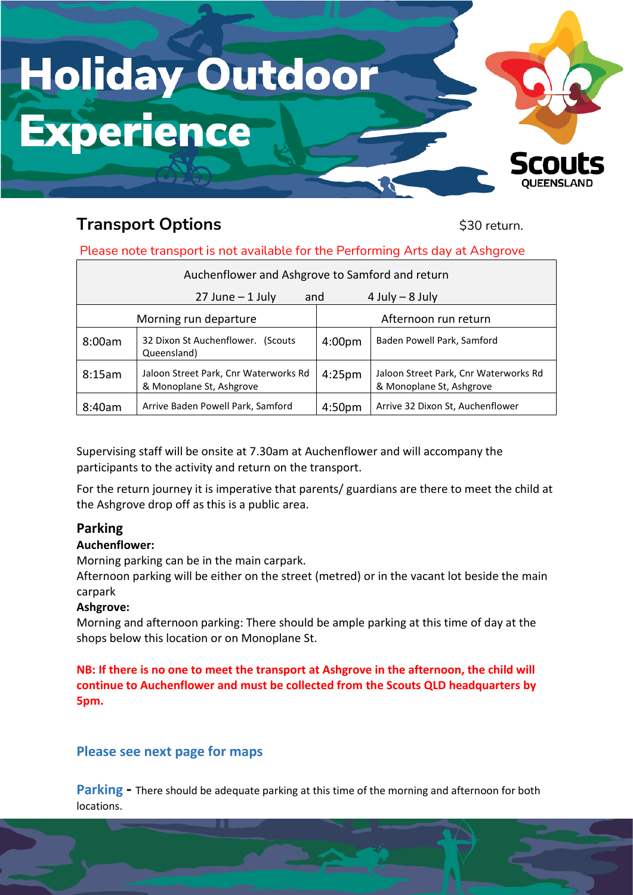# Holiday Outdoor Experience

### **Transport Options 1988 \$30 return.**

#### Please note transport is not available for the Performing Arts day at Ashgrove

| Auchenflower and Ashgrove to Samford and return |                                                                   |                      |                                                                   |
|-------------------------------------------------|-------------------------------------------------------------------|----------------------|-------------------------------------------------------------------|
| 4 July $-8$ July<br>$27$ June $-1$ July<br>and  |                                                                   |                      |                                                                   |
| Morning run departure                           |                                                                   | Afternoon run return |                                                                   |
| 8:00am                                          | 32 Dixon St Auchenflower. (Scouts<br>Queensland)                  | 4:00 <sub>pm</sub>   | Baden Powell Park, Samford                                        |
| 8:15am                                          | Jaloon Street Park, Cnr Waterworks Rd<br>& Monoplane St, Ashgrove | 4:25 <sub>pm</sub>   | Jaloon Street Park, Cnr Waterworks Rd<br>& Monoplane St, Ashgrove |
| 8:40am                                          | Arrive Baden Powell Park, Samford                                 | 4:50 <sub>pm</sub>   | Arrive 32 Dixon St, Auchenflower                                  |

Supervising staff will be onsite at 7.30am at Auchenflower and will accompany the participants to the activity and return on the transport.

For the return journey it is imperative that parents/ guardians are there to meet the child at the Ashgrove drop off as this is a public area.

#### **Parking**

#### **Auchenflower:**

Morning parking can be in the main carpark.

Afternoon parking will be either on the street (metred) or in the vacant lot beside the main carpark

#### **Ashgrove:**

Morning and afternoon parking: There should be ample parking at this time of day at the shops below this location or on Monoplane St.

**NB: If there is no one to meet the transport at Ashgrove in the afternoon, the child will continue to Auchenflower and must be collected from the Scouts QLD headquarters by 5pm.**

#### **Please see next page for maps**

**Parking -** There should be adequate parking at this time of the morning and afternoon for both locations.